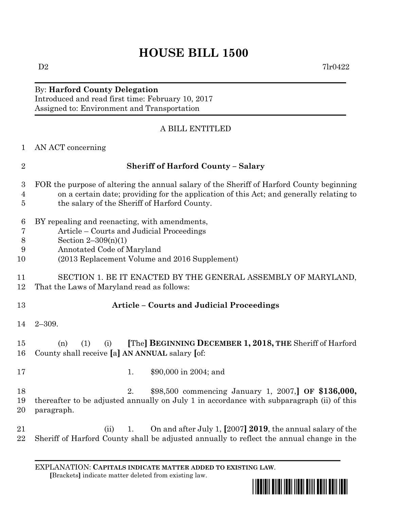## **HOUSE BILL 1500**

## By: **Harford County Delegation**

Introduced and read first time: February 10, 2017 Assigned to: Environment and Transportation

## A BILL ENTITLED

| 1                                                    | AN ACT concerning                                                                                                                                                                                                                   |
|------------------------------------------------------|-------------------------------------------------------------------------------------------------------------------------------------------------------------------------------------------------------------------------------------|
| $\overline{2}$                                       | <b>Sheriff of Harford County - Salary</b>                                                                                                                                                                                           |
| $\boldsymbol{3}$<br>$\overline{4}$<br>$\overline{5}$ | FOR the purpose of altering the annual salary of the Sheriff of Harford County beginning<br>on a certain date; providing for the application of this Act; and generally relating to<br>the salary of the Sheriff of Harford County. |
| $6\phantom{.}6$<br>7<br>8<br>9<br>10                 | BY repealing and reenacting, with amendments,<br>Article – Courts and Judicial Proceedings<br>Section $2-309(n)(1)$<br>Annotated Code of Maryland<br>(2013 Replacement Volume and 2016 Supplement)                                  |
| 11<br>12                                             | SECTION 1. BE IT ENACTED BY THE GENERAL ASSEMBLY OF MARYLAND,<br>That the Laws of Maryland read as follows:                                                                                                                         |
| 13                                                   | <b>Article - Courts and Judicial Proceedings</b>                                                                                                                                                                                    |
| 14                                                   | $2 - 309.$                                                                                                                                                                                                                          |
| 15<br>16                                             | [The] BEGINNING DECEMBER 1, 2018, THE Sheriff of Harford<br>(1)<br>(n)<br>(i)<br>County shall receive [a] AN ANNUAL salary [of:                                                                                                     |
| 17                                                   | \$90,000 in 2004; and<br>1.                                                                                                                                                                                                         |
| 18<br>19<br>20                                       | \$98,500 commencing January 1, 2007, OF \$136,000,<br>2.<br>thereafter to be adjusted annually on July 1 in accordance with subparagraph (ii) of this<br>paragraph.                                                                 |
| 21<br>22                                             | On and after July 1, [2007] 2019, the annual salary of the<br>(ii)<br>1.<br>Sheriff of Harford County shall be adjusted annually to reflect the annual change in the                                                                |

EXPLANATION: **CAPITALS INDICATE MATTER ADDED TO EXISTING LAW**.  **[**Brackets**]** indicate matter deleted from existing law.





 $D2$  7lr0422